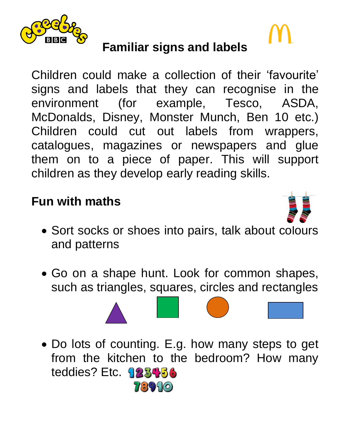

# **Familiar signs and labels**

Children could make a collection of their 'favourite' signs and labels that they can recognise in the environment (for example, Tesco, ASDA, McDonalds, Disney, Monster Munch, Ben 10 etc.) Children could cut out labels from wrappers, catalogues, magazines or newspapers and glue them on to a piece of paper. This will support children as they develop early reading skills.

### **Fun with maths**



- Sort socks or shoes into pairs, talk about colours and patterns
- Go on a shape hunt. Look for common shapes, such as triangles, squares, circles and rectangles



• Do lots of counting. E.g. how many steps to get from the kitchen to the bedroom? How many teddies? Etc. 123456 73910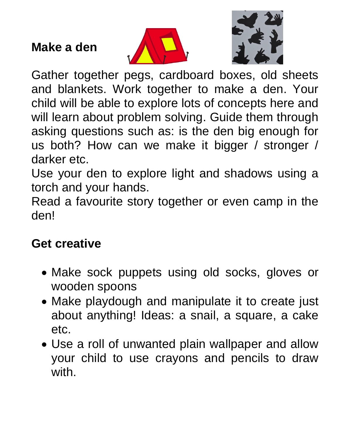#### **Make a den**





Gather together pegs, cardboard boxes, old sheets and blankets. Work together to make a den. Your child will be able to explore lots of concepts here and will learn about problem solving. Guide them through asking questions such as: is the den big enough for us both? How can we make it bigger / stronger / darker etc.

Use your den to explore light and shadows using a torch and your hands.

Read a favourite story together or even camp in the den!

#### **Get creative**

- Make sock puppets using old socks, gloves or wooden spoons
- Make playdough and manipulate it to create just about anything! Ideas: a snail, a square, a cake etc.
- Use a roll of unwanted plain wallpaper and allow your child to use crayons and pencils to draw with.